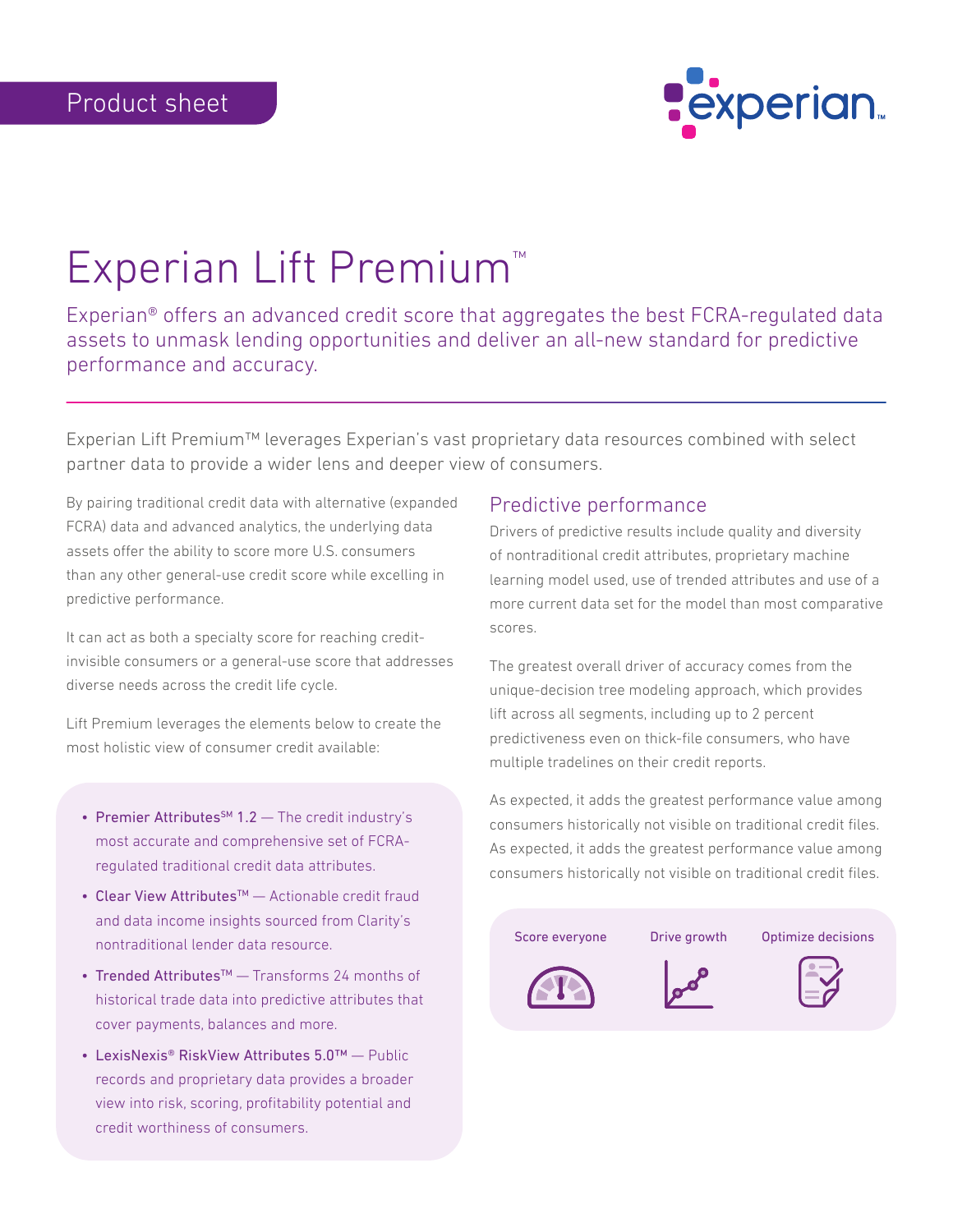

# Experian Lift Premium™

Experian® offers an advanced credit score that aggregates the best FCRA-regulated data assets to unmask lending opportunities and deliver an all-new standard for predictive performance and accuracy.

Experian Lift Premium™ leverages Experian's vast proprietary data resources combined with select partner data to provide a wider lens and deeper view of consumers.

By pairing traditional credit data with alternative (expanded FCRA) data and advanced analytics, the underlying data assets offer the ability to score more U.S. consumers than any other general-use credit score while excelling in predictive performance.

It can act as both a specialty score for reaching creditinvisible consumers or a general-use score that addresses diverse needs across the credit life cycle.

Lift Premium leverages the elements below to create the most holistic view of consumer credit available:

- Premier Attributes<sup>SM</sup> 1.2  $-$  The credit industry's most accurate and comprehensive set of FCRAregulated traditional credit data attributes.
- Clear View Attributes™ Actionable credit fraud and data income insights sourced from Clarity's nontraditional lender data resource.
- Trended Attributes™ Transforms 24 months of historical trade data into predictive attributes that cover payments, balances and more.
- LexisNexis® RiskView Attributes 5.0™ Public records and proprietary data provides a broader view into risk, scoring, profitability potential and credit worthiness of consumers.

#### Predictive performance

Drivers of predictive results include quality and diversity of nontraditional credit attributes, proprietary machine learning model used, use of trended attributes and use of a more current data set for the model than most comparative scores.

The greatest overall driver of accuracy comes from the unique-decision tree modeling approach, which provides lift across all segments, including up to 2 percent predictiveness even on thick-file consumers, who have multiple tradelines on their credit reports.

As expected, it adds the greatest performance value among consumers historically not visible on traditional credit files. As expected, it adds the greatest performance value among consumers historically not visible on traditional credit files.

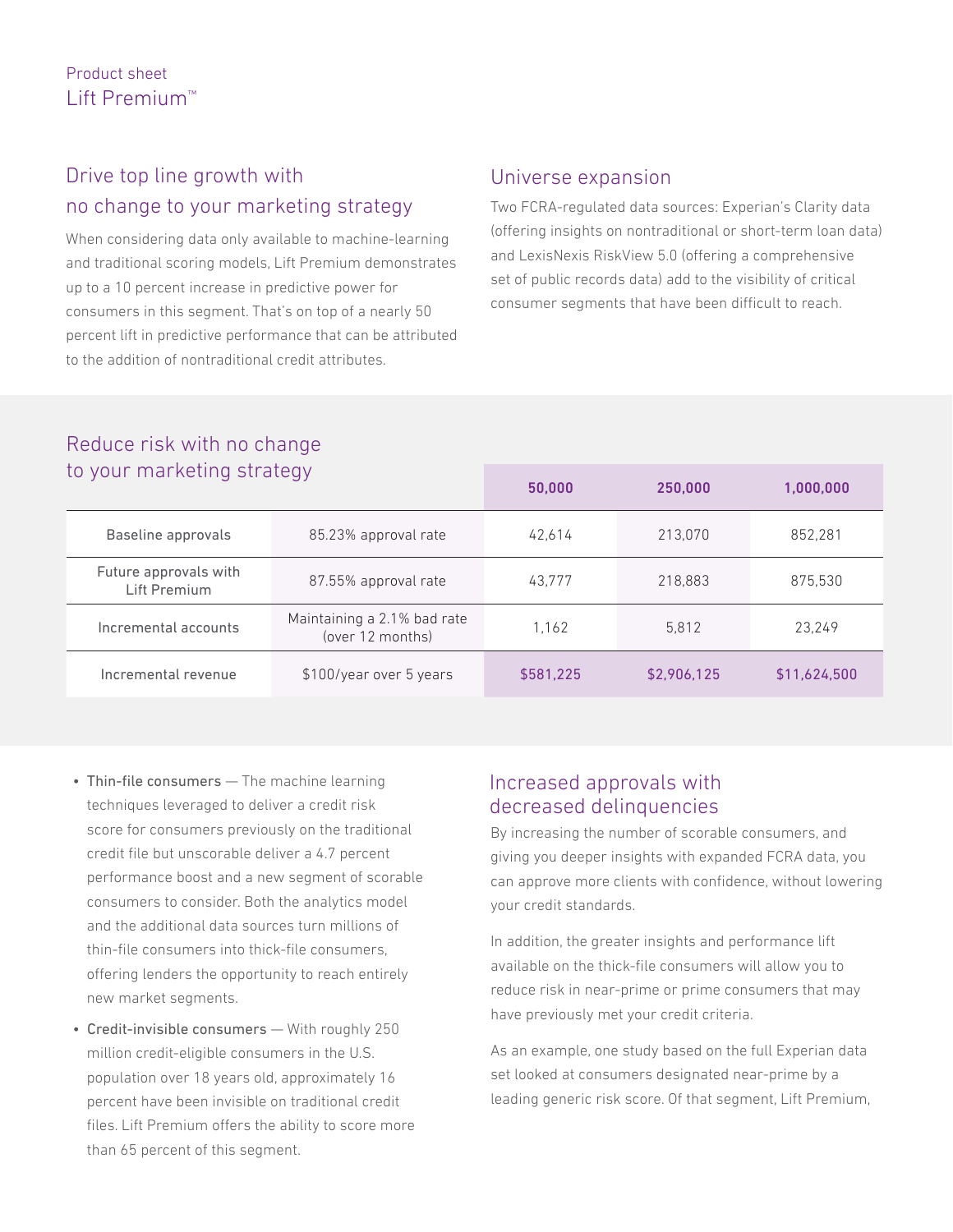# Drive top line growth with no change to your marketing strategy

When considering data only available to machine-learning and traditional scoring models, Lift Premium demonstrates up to a 10 percent increase in predictive power for consumers in this segment. That's on top of a nearly 50 percent lift in predictive performance that can be attributed to the addition of nontraditional credit attributes.

# Universe expansion

Two FCRA-regulated data sources: Experian's Clarity data (offering insights on nontraditional or short-term loan data) and LexisNexis RiskView 5.0 (offering a comprehensive set of public records data) add to the visibility of critical consumer segments that have been difficult to reach.

| to your marketing strategy            |                                                 | 50,000    | 250,000     | 1,000,000    |
|---------------------------------------|-------------------------------------------------|-----------|-------------|--------------|
| Baseline approvals                    | 85.23% approval rate                            | 42,614    | 213,070     | 852,281      |
| Future approvals with<br>Lift Premium | 87.55% approval rate                            | 43.777    | 218.883     | 875.530      |
| Incremental accounts                  | Maintaining a 2.1% bad rate<br>(over 12 months) | 1.162     | 5.812       | 23.249       |
| Incremental revenue                   | \$100/year over 5 years                         | \$581,225 | \$2,906,125 | \$11,624,500 |

# Reduce risk with no change to your marketing strategy

- Thin-file consumers The machine learning techniques leveraged to deliver a credit risk score for consumers previously on the traditional credit file but unscorable deliver a 4.7 percent performance boost and a new segment of scorable consumers to consider. Both the analytics model and the additional data sources turn millions of thin-file consumers into thick-file consumers, offering lenders the opportunity to reach entirely new market segments.
- Credit-invisible consumers With roughly 250 million credit-eligible consumers in the U.S. population over 18 years old, approximately 16 percent have been invisible on traditional credit files. Lift Premium offers the ability to score more than 65 percent of this segment.

#### Increased approvals with decreased delinquencies

By increasing the number of scorable consumers, and giving you deeper insights with expanded FCRA data, you can approve more clients with confidence, without lowering your credit standards.

In addition, the greater insights and performance lift available on the thick-file consumers will allow you to reduce risk in near-prime or prime consumers that may have previously met your credit criteria.

As an example, one study based on the full Experian data set looked at consumers designated near-prime by a leading generic risk score. Of that segment, Lift Premium,